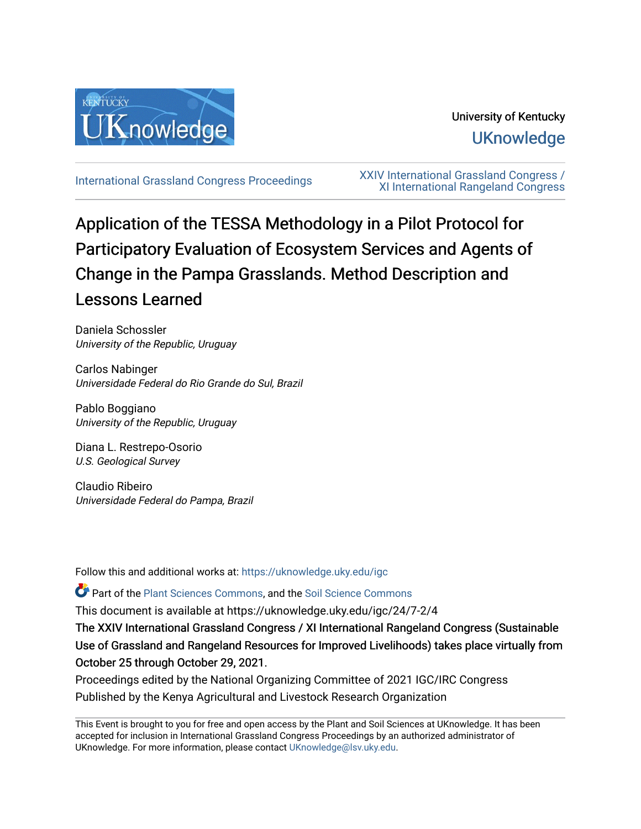

## University of Kentucky **UKnowledge**

[International Grassland Congress Proceedings](https://uknowledge.uky.edu/igc) [XXIV International Grassland Congress /](https://uknowledge.uky.edu/igc/24)  [XI International Rangeland Congress](https://uknowledge.uky.edu/igc/24) 

# Application of the TESSA Methodology in a Pilot Protocol for Participatory Evaluation of Ecosystem Services and Agents of Change in the Pampa Grasslands. Method Description and Lessons Learned

Daniela Schossler University of the Republic, Uruguay

Carlos Nabinger Universidade Federal do Rio Grande do Sul, Brazil

Pablo Boggiano University of the Republic, Uruguay

Diana L. Restrepo-Osorio U.S. Geological Survey

Claudio Ribeiro Universidade Federal do Pampa, Brazil

Follow this and additional works at: [https://uknowledge.uky.edu/igc](https://uknowledge.uky.edu/igc?utm_source=uknowledge.uky.edu%2Figc%2F24%2F7-2%2F4&utm_medium=PDF&utm_campaign=PDFCoverPages) 

Part of the [Plant Sciences Commons](http://network.bepress.com/hgg/discipline/102?utm_source=uknowledge.uky.edu%2Figc%2F24%2F7-2%2F4&utm_medium=PDF&utm_campaign=PDFCoverPages), and the [Soil Science Commons](http://network.bepress.com/hgg/discipline/163?utm_source=uknowledge.uky.edu%2Figc%2F24%2F7-2%2F4&utm_medium=PDF&utm_campaign=PDFCoverPages) 

This document is available at https://uknowledge.uky.edu/igc/24/7-2/4

The XXIV International Grassland Congress / XI International Rangeland Congress (Sustainable Use of Grassland and Rangeland Resources for Improved Livelihoods) takes place virtually from October 25 through October 29, 2021.

Proceedings edited by the National Organizing Committee of 2021 IGC/IRC Congress Published by the Kenya Agricultural and Livestock Research Organization

This Event is brought to you for free and open access by the Plant and Soil Sciences at UKnowledge. It has been accepted for inclusion in International Grassland Congress Proceedings by an authorized administrator of UKnowledge. For more information, please contact [UKnowledge@lsv.uky.edu](mailto:UKnowledge@lsv.uky.edu).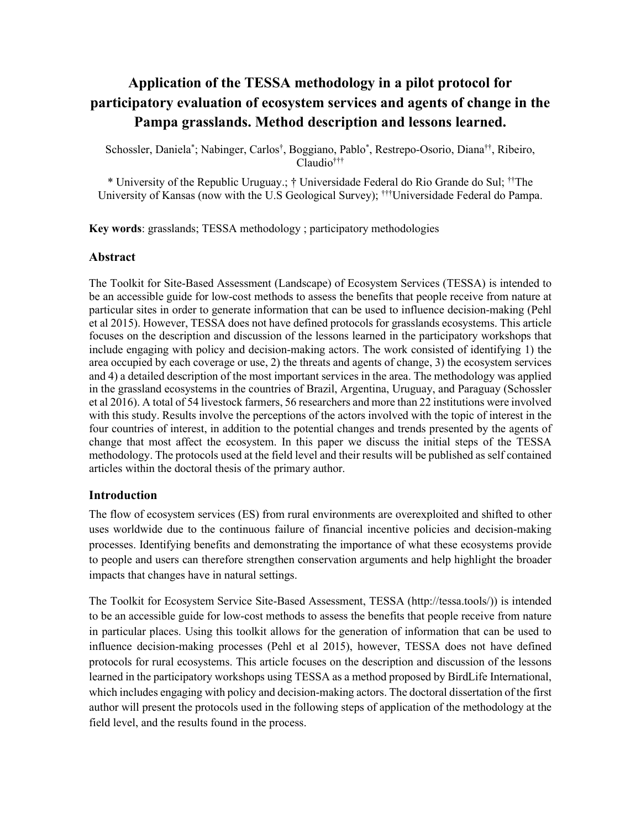### **Application of the TESSA methodology in a pilot protocol for participatory evaluation of ecosystem services and agents of change in the Pampa grasslands. Method description and lessons learned.**

Schossler, Daniela\* ; Nabinger, Carlos† , Boggiano, Pablo\* , Restrepo-Osorio, Diana††, Ribeiro, Claudio†††

\* University of the Republic Uruguay.; † Universidade Federal do Rio Grande do Sul; ††The University of Kansas (now with the U.S Geological Survey); †††Universidade Federal do Pampa.

**Key words**: grasslands; TESSA methodology ; participatory methodologies

#### **Abstract**

The Toolkit for Site-Based Assessment (Landscape) of Ecosystem Services (TESSA) is intended to be an accessible guide for low-cost methods to assess the benefits that people receive from nature at particular sites in order to generate information that can be used to influence decision-making (Pehl et al 2015). However, TESSA does not have defined protocols for grasslands ecosystems. This article focuses on the description and discussion of the lessons learned in the participatory workshops that include engaging with policy and decision-making actors. The work consisted of identifying 1) the area occupied by each coverage or use, 2) the threats and agents of change, 3) the ecosystem services and 4) a detailed description of the most important services in the area. The methodology was applied in the grassland ecosystems in the countries of Brazil, Argentina, Uruguay, and Paraguay (Schossler et al 2016). A total of 54 livestock farmers, 56 researchers and more than 22 institutions were involved with this study. Results involve the perceptions of the actors involved with the topic of interest in the four countries of interest, in addition to the potential changes and trends presented by the agents of change that most affect the ecosystem. In this paper we discuss the initial steps of the TESSA methodology. The protocols used at the field level and their results will be published as self contained articles within the doctoral thesis of the primary author.

#### **Introduction**

The flow of ecosystem services (ES) from rural environments are overexploited and shifted to other uses worldwide due to the continuous failure of financial incentive policies and decision-making processes. Identifying benefits and demonstrating the importance of what these ecosystems provide to people and users can therefore strengthen conservation arguments and help highlight the broader impacts that changes have in natural settings.

The Toolkit for Ecosystem Service Site-Based Assessment, TESSA (http://tessa.tools/)) is intended to be an accessible guide for low-cost methods to assess the benefits that people receive from nature in particular places. Using this toolkit allows for the generation of information that can be used to influence decision-making processes (Pehl et al 2015), however, TESSA does not have defined protocols for rural ecosystems. This article focuses on the description and discussion of the lessons learned in the participatory workshops using TESSA as a method proposed by BirdLife International, which includes engaging with policy and decision-making actors. The doctoral dissertation of the first author will present the protocols used in the following steps of application of the methodology at the field level, and the results found in the process.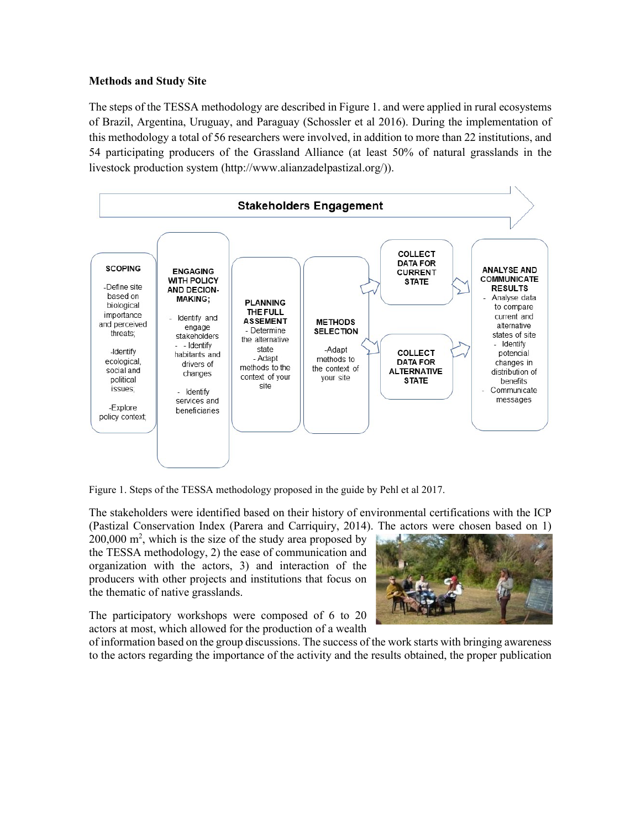#### **Methods and Study Site**

The steps of the TESSA methodology are described in Figure 1. and were applied in rural ecosystems of Brazil, Argentina, Uruguay, and Paraguay (Schossler et al 2016). During the implementation of this methodology a total of 56 researchers were involved, in addition to more than 22 institutions, and 54 participating producers of the Grassland Alliance (at least 50% of natural grasslands in the livestock production system (http://www.alianzadelpastizal.org/)).



Figure 1. Steps of the TESSA methodology proposed in the guide by Pehl et al 2017.

The stakeholders were identified based on their history of environmental certifications with the ICP (Pastizal Conservation Index (Parera and Carriquiry, 2014). The actors were chosen based on 1)

 $200,000$  m<sup>2</sup>, which is the size of the study area proposed by the TESSA methodology, 2) the ease of communication and organization with the actors, 3) and interaction of the producers with other projects and institutions that focus on the thematic of native grasslands.

The participatory workshops were composed of 6 to 20 actors at most, which allowed for the production of a wealth



of information based on the group discussions. The success of the work starts with bringing awareness to the actors regarding the importance of the activity and the results obtained, the proper publication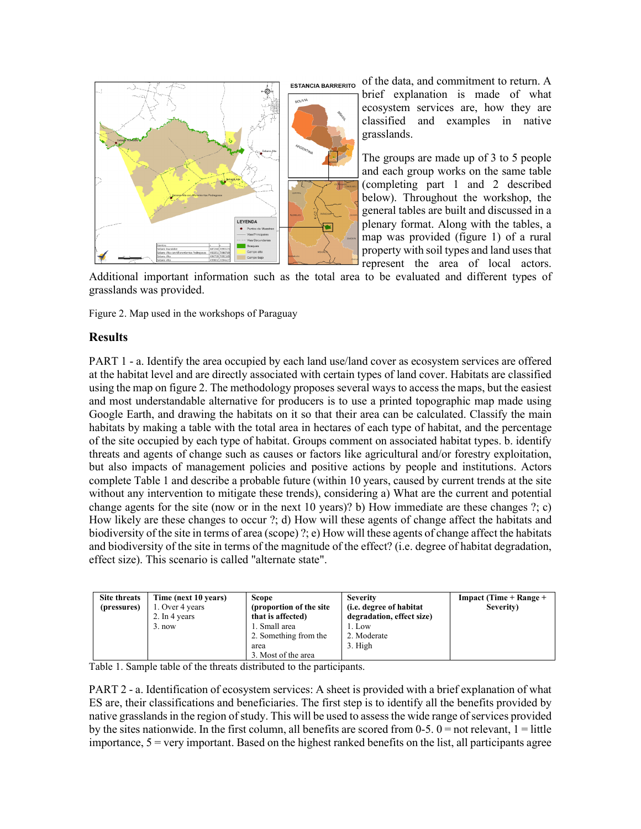

of the data, and commitment to return. A **ESTANCIA BARRERITO** 

brief explanation is made of what ecosystem services are, how they are classified and examples in native grasslands.

The groups are made up of 3 to 5 people and each group works on the same table (completing part 1 and 2 described below). Throughout the workshop, the general tables are built and discussed in a plenary format. Along with the tables, a map was provided (figure 1) of a rural property with soil types and land uses that represent the area of local actors.

Additional important information such as the total area to be evaluated and different types of grasslands was provided.

Figure 2. Map used in the workshops of Paraguay

#### **Results**

PART 1 - a. Identify the area occupied by each land use/land cover as ecosystem services are offered at the habitat level and are directly associated with certain types of land cover. Habitats are classified using the map on figure 2. The methodology proposes several ways to access the maps, but the easiest and most understandable alternative for producers is to use a printed topographic map made using Google Earth, and drawing the habitats on it so that their area can be calculated. Classify the main habitats by making a table with the total area in hectares of each type of habitat, and the percentage of the site occupied by each type of habitat. Groups comment on associated habitat types. b. identify threats and agents of change such as causes or factors like agricultural and/or forestry exploitation, but also impacts of management policies and positive actions by people and institutions. Actors complete Table 1 and describe a probable future (within 10 years, caused by current trends at the site without any intervention to mitigate these trends), considering a) What are the current and potential change agents for the site (now or in the next 10 years)? b) How immediate are these changes ?; c) How likely are these changes to occur ?; d) How will these agents of change affect the habitats and biodiversity of the site in terms of area (scope) ?; e) How will these agents of change affect the habitats and biodiversity of the site in terms of the magnitude of the effect? (i.e. degree of habitat degradation, effect size). This scenario is called "alternate state".

| Site threats | Time (next 10 years) | <b>Scope</b>             | <b>Severity</b>                 | Impact (Time + Range + |
|--------------|----------------------|--------------------------|---------------------------------|------------------------|
| (pressures)  | 1. Over 4 years      | (proportion of the site) | ( <i>i.e.</i> degree of habitat | Severity)              |
|              | 2. In 4 years        | that is affected)        | degradation, effect size)       |                        |
|              | $3.$ now             | 1. Small area            | 1. Low                          |                        |
|              |                      | 2. Something from the    | 2. Moderate                     |                        |
|              |                      | area                     | 3. High                         |                        |
|              |                      | 3. Most of the area      |                                 |                        |

Table 1. Sample table of the threats distributed to the participants.

PART 2 - a. Identification of ecosystem services: A sheet is provided with a brief explanation of what ES are, their classifications and beneficiaries. The first step is to identify all the benefits provided by native grasslands in the region of study. This will be used to assess the wide range of services provided by the sites nationwide. In the first column, all benefits are scored from  $0-5$ .  $0 =$  not relevant,  $1 =$  little importance,  $5 = \text{very important}$ . Based on the highest ranked benefits on the list, all participants agree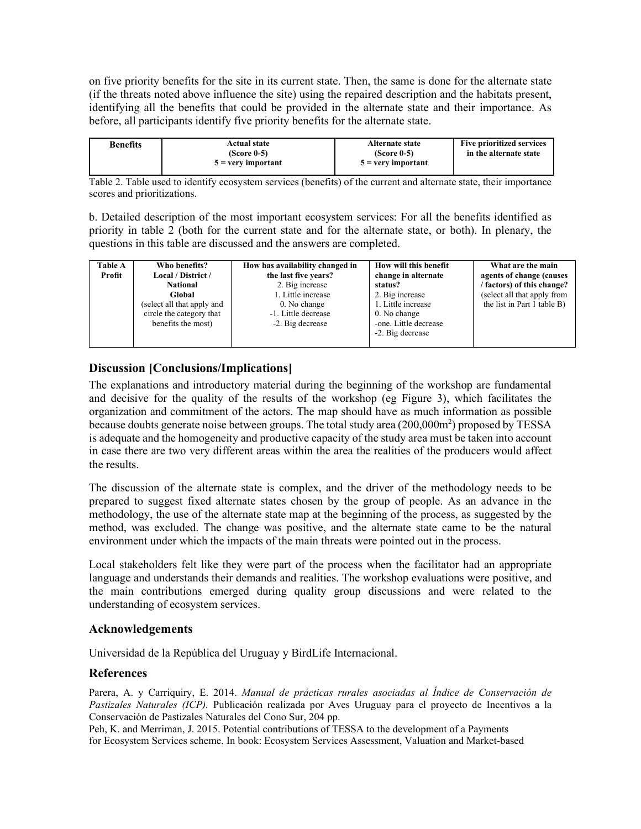on five priority benefits for the site in its current state. Then, the same is done for the alternate state (if the threats noted above influence the site) using the repaired description and the habitats present, identifying all the benefits that could be provided in the alternate state and their importance. As before, all participants identify five priority benefits for the alternate state.

| $5 =$ very important<br>$5 =$ very important | Benefits<br>$(Score 0-5)$<br>$(Score 0-5)$ | <b>Five prioritized services</b><br>Alternate state<br>in the alternate state |
|----------------------------------------------|--------------------------------------------|-------------------------------------------------------------------------------|
|----------------------------------------------|--------------------------------------------|-------------------------------------------------------------------------------|

Table 2. Table used to identify ecosystem services (benefits) of the current and alternate state, their importance scores and prioritizations.

b. Detailed description of the most important ecosystem services: For all the benefits identified as priority in table 2 (both for the current state and for the alternate state, or both). In plenary, the questions in this table are discussed and the answers are completed.

| <b>Table A</b> | Who benefits?              | How has availability changed in | How will this benefit | What are the main           |
|----------------|----------------------------|---------------------------------|-----------------------|-----------------------------|
| Profit         | Local / District /         | the last five years?            | change in alternate   | agents of change (causes    |
|                | <b>National</b>            | 2. Big increase                 | status?               | factors) of this change?    |
|                | Global                     | 1. Little increase              | 2. Big increase       | (select all that apply from |
|                | (select all that apply and | 0. No change                    | 1. Little increase    | the list in Part 1 table B) |
|                | circle the category that   | -1. Little decrease             | 0. No change          |                             |
|                | benefits the most)         | -2. Big decrease                | -one. Little decrease |                             |
|                |                            |                                 | -2. Big decrease      |                             |
|                |                            |                                 |                       |                             |

#### **Discussion [Conclusions/Implications]**

The explanations and introductory material during the beginning of the workshop are fundamental and decisive for the quality of the results of the workshop (eg Figure 3), which facilitates the organization and commitment of the actors. The map should have as much information as possible because doubts generate noise between groups. The total study area (200,000m<sup>2</sup>) proposed by TESSA is adequate and the homogeneity and productive capacity of the study area must be taken into account in case there are two very different areas within the area the realities of the producers would affect the results.

The discussion of the alternate state is complex, and the driver of the methodology needs to be prepared to suggest fixed alternate states chosen by the group of people. As an advance in the methodology, the use of the alternate state map at the beginning of the process, as suggested by the method, was excluded. The change was positive, and the alternate state came to be the natural environment under which the impacts of the main threats were pointed out in the process.

Local stakeholders felt like they were part of the process when the facilitator had an appropriate language and understands their demands and realities. The workshop evaluations were positive, and the main contributions emerged during quality group discussions and were related to the understanding of ecosystem services.

#### **Acknowledgements**

Universidad de la República del Uruguay y BirdLife Internacional.

#### **References**

Parera, A. y Carriquiry, E. 2014. *Manual de prácticas rurales asociadas al Índice de Conservación de Pastizales Naturales (ICP).* Publicación realizada por Aves Uruguay para el proyecto de Incentivos a la Conservación de Pastizales Naturales del Cono Sur, 204 pp.

Peh, K. and Merriman, J. 2015. Potential contributions of TESSA to the development of a Payments for Ecosystem Services scheme. In book: Ecosystem Services Assessment, Valuation and Market-based